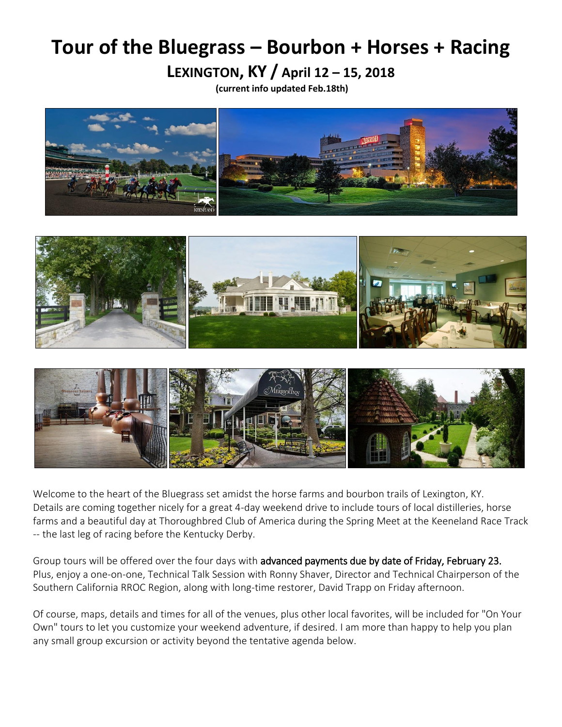# **Tour of the Bluegrass – Bourbon + Horses + Racing**

**LEXINGTON, KY / April 12 – 15, 2018**

**(current info updated Feb.18th)**







Welcome to the heart of the Bluegrass set amidst the horse farms and bourbon trails of Lexington, KY. Details are coming together nicely for a great 4-day weekend drive to include tours of local distilleries, horse farms and a beautiful day at Thoroughbred Club of America during the Spring Meet at the Keeneland Race Track -- the last leg of racing before the Kentucky Derby.

Group tours will be offered over the four days with advanced payments due by date of Friday, February 23. Plus, enjoy a one-on-one, Technical Talk Session with Ronny Shaver, Director and Technical Chairperson of the Southern California RROC Region, along with long-time restorer, David Trapp on Friday afternoon.

Of course, maps, details and times for all of the venues, plus other local favorites, will be included for "On Your Own" tours to let you customize your weekend adventure, if desired. I am more than happy to help you plan any small group excursion or activity beyond the tentative agenda below.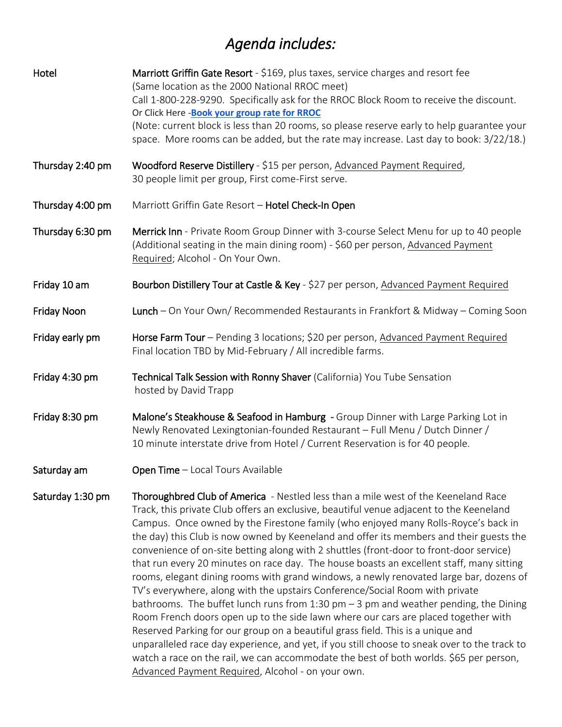## *Agenda includes:*

| Hotel            | Marriott Griffin Gate Resort - \$169, plus taxes, service charges and resort fee<br>(Same location as the 2000 National RROC meet)<br>Call 1-800-228-9290. Specifically ask for the RROC Block Room to receive the discount.<br>Or Click Here -Book your group rate for RROC<br>(Note: current block is less than 20 rooms, so please reserve early to help guarantee your<br>space. More rooms can be added, but the rate may increase. Last day to book: 3/22/18.)                                                                                                                                                                                                                                                                                                                                                                                                                                                                                                                                                                                                                                                                                                                                                                              |  |  |  |  |
|------------------|---------------------------------------------------------------------------------------------------------------------------------------------------------------------------------------------------------------------------------------------------------------------------------------------------------------------------------------------------------------------------------------------------------------------------------------------------------------------------------------------------------------------------------------------------------------------------------------------------------------------------------------------------------------------------------------------------------------------------------------------------------------------------------------------------------------------------------------------------------------------------------------------------------------------------------------------------------------------------------------------------------------------------------------------------------------------------------------------------------------------------------------------------------------------------------------------------------------------------------------------------|--|--|--|--|
| Thursday 2:40 pm | Woodford Reserve Distillery - \$15 per person, Advanced Payment Required,<br>30 people limit per group, First come-First serve.                                                                                                                                                                                                                                                                                                                                                                                                                                                                                                                                                                                                                                                                                                                                                                                                                                                                                                                                                                                                                                                                                                                   |  |  |  |  |
| Thursday 4:00 pm | Marriott Griffin Gate Resort - Hotel Check-In Open                                                                                                                                                                                                                                                                                                                                                                                                                                                                                                                                                                                                                                                                                                                                                                                                                                                                                                                                                                                                                                                                                                                                                                                                |  |  |  |  |
| Thursday 6:30 pm | Merrick Inn - Private Room Group Dinner with 3-course Select Menu for up to 40 people<br>(Additional seating in the main dining room) - \$60 per person, Advanced Payment<br>Required; Alcohol - On Your Own.                                                                                                                                                                                                                                                                                                                                                                                                                                                                                                                                                                                                                                                                                                                                                                                                                                                                                                                                                                                                                                     |  |  |  |  |
| Friday 10 am     | Bourbon Distillery Tour at Castle & Key - \$27 per person, Advanced Payment Required                                                                                                                                                                                                                                                                                                                                                                                                                                                                                                                                                                                                                                                                                                                                                                                                                                                                                                                                                                                                                                                                                                                                                              |  |  |  |  |
| Friday Noon      | Lunch - On Your Own/ Recommended Restaurants in Frankfort & Midway - Coming Soon                                                                                                                                                                                                                                                                                                                                                                                                                                                                                                                                                                                                                                                                                                                                                                                                                                                                                                                                                                                                                                                                                                                                                                  |  |  |  |  |
| Friday early pm  | Horse Farm Tour - Pending 3 locations; \$20 per person, Advanced Payment Required<br>Final location TBD by Mid-February / All incredible farms.                                                                                                                                                                                                                                                                                                                                                                                                                                                                                                                                                                                                                                                                                                                                                                                                                                                                                                                                                                                                                                                                                                   |  |  |  |  |
| Friday 4:30 pm   | Technical Talk Session with Ronny Shaver (California) You Tube Sensation<br>hosted by David Trapp                                                                                                                                                                                                                                                                                                                                                                                                                                                                                                                                                                                                                                                                                                                                                                                                                                                                                                                                                                                                                                                                                                                                                 |  |  |  |  |
| Friday 8:30 pm   | Malone's Steakhouse & Seafood in Hamburg - Group Dinner with Large Parking Lot in<br>Newly Renovated Lexingtonian-founded Restaurant - Full Menu / Dutch Dinner /<br>10 minute interstate drive from Hotel / Current Reservation is for 40 people.                                                                                                                                                                                                                                                                                                                                                                                                                                                                                                                                                                                                                                                                                                                                                                                                                                                                                                                                                                                                |  |  |  |  |
| Saturday am      | Open Time - Local Tours Available                                                                                                                                                                                                                                                                                                                                                                                                                                                                                                                                                                                                                                                                                                                                                                                                                                                                                                                                                                                                                                                                                                                                                                                                                 |  |  |  |  |
| Saturday 1:30 pm | Thoroughbred Club of America - Nestled less than a mile west of the Keeneland Race<br>Track, this private Club offers an exclusive, beautiful venue adjacent to the Keeneland<br>Campus. Once owned by the Firestone family (who enjoyed many Rolls-Royce's back in<br>the day) this Club is now owned by Keeneland and offer its members and their guests the<br>convenience of on-site betting along with 2 shuttles (front-door to front-door service)<br>that run every 20 minutes on race day. The house boasts an excellent staff, many sitting<br>rooms, elegant dining rooms with grand windows, a newly renovated large bar, dozens of<br>TV's everywhere, along with the upstairs Conference/Social Room with private<br>bathrooms. The buffet lunch runs from 1:30 pm $-$ 3 pm and weather pending, the Dining<br>Room French doors open up to the side lawn where our cars are placed together with<br>Reserved Parking for our group on a beautiful grass field. This is a unique and<br>unparalleled race day experience, and yet, if you still choose to sneak over to the track to<br>watch a race on the rail, we can accommodate the best of both worlds. \$65 per person,<br>Advanced Payment Required, Alcohol - on your own. |  |  |  |  |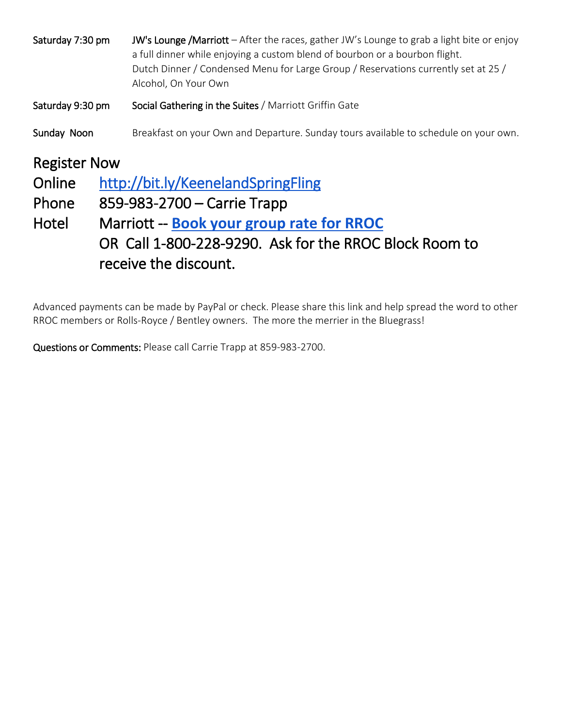| Saturday 9:30 pm<br>Social Gathering in the Suites / Marriott Griffin Gate<br>Sunday Noon<br><b>Register Now</b><br>Online<br>http://bit.ly/KeenelandSpringFling<br>Phone<br>859-983-2700 – Carrie Trapp<br>Marriott -- Book your group rate for RROC<br>Hotel<br>OR Call 1-800-228-9290. Ask for the RROC Block Room to<br>receive the discount. | Saturday 7:30 pm | <b>JW's Lounge /Marriott</b> – After the races, gather JW's Lounge to grab a light bite or enjoy<br>a full dinner while enjoying a custom blend of bourbon or a bourbon flight.<br>Dutch Dinner / Condensed Menu for Large Group / Reservations currently set at 25 /<br>Alcohol, On Your Own |  |  |  |
|---------------------------------------------------------------------------------------------------------------------------------------------------------------------------------------------------------------------------------------------------------------------------------------------------------------------------------------------------|------------------|-----------------------------------------------------------------------------------------------------------------------------------------------------------------------------------------------------------------------------------------------------------------------------------------------|--|--|--|
|                                                                                                                                                                                                                                                                                                                                                   |                  |                                                                                                                                                                                                                                                                                               |  |  |  |
|                                                                                                                                                                                                                                                                                                                                                   |                  | Breakfast on your Own and Departure. Sunday tours available to schedule on your own.                                                                                                                                                                                                          |  |  |  |
|                                                                                                                                                                                                                                                                                                                                                   |                  |                                                                                                                                                                                                                                                                                               |  |  |  |

Advanced payments can be made by PayPal or check. Please share this link and help spread the word to other RROC members or Rolls-Royce / Bentley owners. The more the merrier in the Bluegrass!

Questions or Comments: Please call Carrie Trapp at 859-983-2700.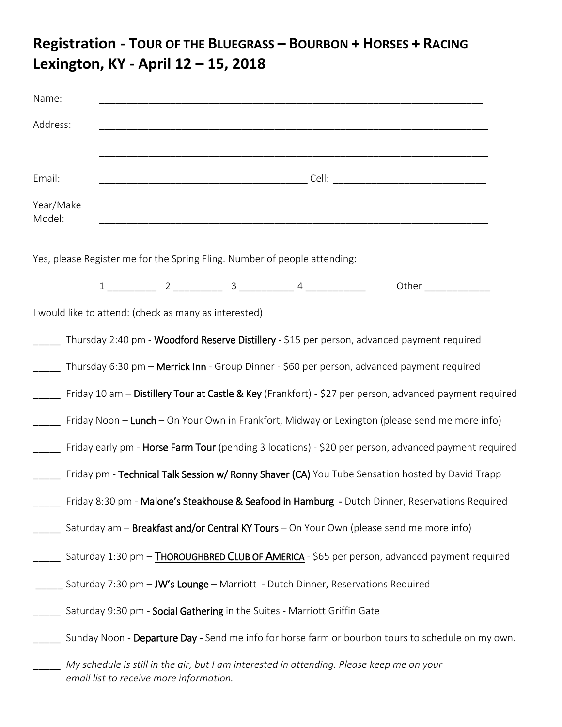### **Registration - TOUR OF THE BLUEGRASS – BOURBON + HORSES + RACING Lexington, KY - April 12 – 15, 2018**

| Name:               |  |                                         |                                                       |                                                                                                                                                                                                                                     |                                                                                                         |  |
|---------------------|--|-----------------------------------------|-------------------------------------------------------|-------------------------------------------------------------------------------------------------------------------------------------------------------------------------------------------------------------------------------------|---------------------------------------------------------------------------------------------------------|--|
| Address:            |  |                                         |                                                       |                                                                                                                                                                                                                                     |                                                                                                         |  |
| Email:              |  |                                         |                                                       |                                                                                                                                                                                                                                     |                                                                                                         |  |
| Year/Make<br>Model: |  |                                         |                                                       |                                                                                                                                                                                                                                     |                                                                                                         |  |
|                     |  |                                         |                                                       | Yes, please Register me for the Spring Fling. Number of people attending:                                                                                                                                                           |                                                                                                         |  |
|                     |  |                                         |                                                       | $1 \begin{tabular}{@{}c@{}} \hline \multicolumn{1}{c }{\textbf{1}} & \multicolumn{1}{c }{\textbf{2}} & \multicolumn{1}{c }{\textbf{3}} & \multicolumn{1}{c }{\textbf{4}} & \multicolumn{1}{c }{\textbf{5}} \\ \hline \end{tabular}$ | Other ______________                                                                                    |  |
|                     |  |                                         | I would like to attend: (check as many as interested) |                                                                                                                                                                                                                                     |                                                                                                         |  |
|                     |  |                                         |                                                       |                                                                                                                                                                                                                                     | Thursday 2:40 pm - Woodford Reserve Distillery - \$15 per person, advanced payment required             |  |
|                     |  |                                         |                                                       |                                                                                                                                                                                                                                     | Thursday 6:30 pm - Merrick Inn - Group Dinner - \$60 per person, advanced payment required              |  |
|                     |  |                                         |                                                       |                                                                                                                                                                                                                                     | Friday 10 am - Distillery Tour at Castle & Key (Frankfort) - \$27 per person, advanced payment required |  |
|                     |  |                                         |                                                       |                                                                                                                                                                                                                                     | Friday Noon – Lunch – On Your Own in Frankfort, Midway or Lexington (please send me more info)          |  |
|                     |  |                                         |                                                       |                                                                                                                                                                                                                                     | Friday early pm - Horse Farm Tour (pending 3 locations) - \$20 per person, advanced payment required    |  |
|                     |  |                                         |                                                       |                                                                                                                                                                                                                                     | Friday pm - Technical Talk Session w/ Ronny Shaver (CA) You Tube Sensation hosted by David Trapp        |  |
|                     |  |                                         |                                                       |                                                                                                                                                                                                                                     | Friday 8:30 pm - Malone's Steakhouse & Seafood in Hamburg - Dutch Dinner, Reservations Required         |  |
|                     |  |                                         |                                                       |                                                                                                                                                                                                                                     | Saturday am - Breakfast and/or Central KY Tours - On Your Own (please send me more info)                |  |
|                     |  |                                         |                                                       |                                                                                                                                                                                                                                     | Saturday 1:30 pm - THOROUGHBRED CLUB OF AMERICA - \$65 per person, advanced payment required            |  |
|                     |  |                                         |                                                       |                                                                                                                                                                                                                                     | Saturday 7:30 pm - JW's Lounge - Marriott - Dutch Dinner, Reservations Required                         |  |
|                     |  |                                         |                                                       | Saturday 9:30 pm - Social Gathering in the Suites - Marriott Griffin Gate                                                                                                                                                           |                                                                                                         |  |
|                     |  |                                         |                                                       |                                                                                                                                                                                                                                     | Sunday Noon - Departure Day - Send me info for horse farm or bourbon tours to schedule on my own.       |  |
|                     |  | email list to receive more information. |                                                       |                                                                                                                                                                                                                                     | My schedule is still in the air, but I am interested in attending. Please keep me on your               |  |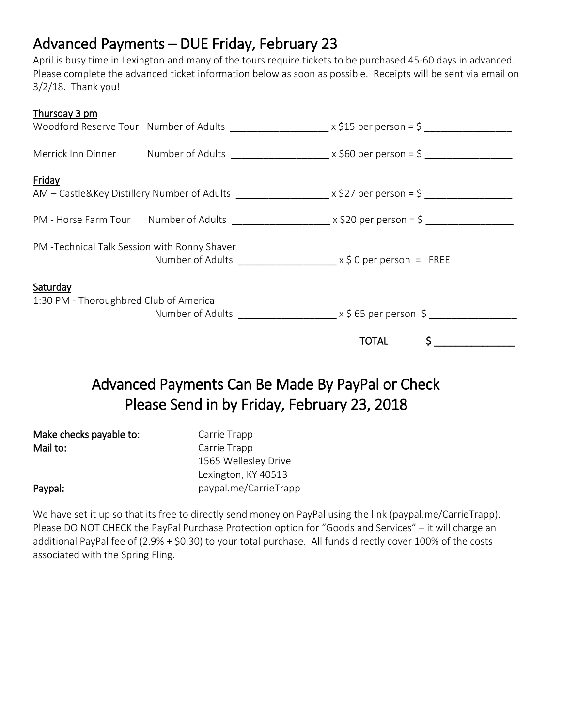#### Advanced Payments – DUE Friday, February 23

April is busy time in Lexington and many of the tours require tickets to be purchased 45-60 days in advanced. Please complete the advanced ticket information below as soon as possible. Receipts will be sent via email on 3/2/18. Thank you!

| Thursday 3 pm                                      |                                              | Woodford Reserve Tour Number of Adults ______________________ x \$15 per person = \$ ________________           |
|----------------------------------------------------|----------------------------------------------|-----------------------------------------------------------------------------------------------------------------|
|                                                    |                                              | Merrick Inn Dinner Mumber of Adults $\frac{1}{2}$ x \$60 per person = \$ ______________                         |
| Friday                                             |                                              | AM – Castle&Key Distillery Number of Adults _____________________ x \$27 per person = \$ ______________________ |
|                                                    |                                              |                                                                                                                 |
| PM - Technical Talk Session with Ronny Shaver      | Number of Adults $x \le 0$ per person = FREE |                                                                                                                 |
| Saturday<br>1:30 PM - Thoroughbred Club of America |                                              | Number of Adults $x \xi$ 65 per person $\xi$                                                                    |
|                                                    |                                              | $\sim$ 5<br><b>TOTAL</b>                                                                                        |

### Advanced Payments Can Be Made By PayPal or Check Please Send in by Friday, February 23, 2018

| Make checks payable to: | Carrie Trapp          |
|-------------------------|-----------------------|
| Mail to:                | Carrie Trapp          |
|                         | 1565 Wellesley Drive  |
|                         | Lexington, KY 40513   |
| Paypal:                 | paypal.me/CarrieTrapp |

We have set it up so that its free to directly send money on PayPal using the link (paypal.me/CarrieTrapp). Please DO NOT CHECK the PayPal Purchase Protection option for "Goods and Services" – it will charge an additional PayPal fee of (2.9% + \$0.30) to your total purchase. All funds directly cover 100% of the costs associated with the Spring Fling.